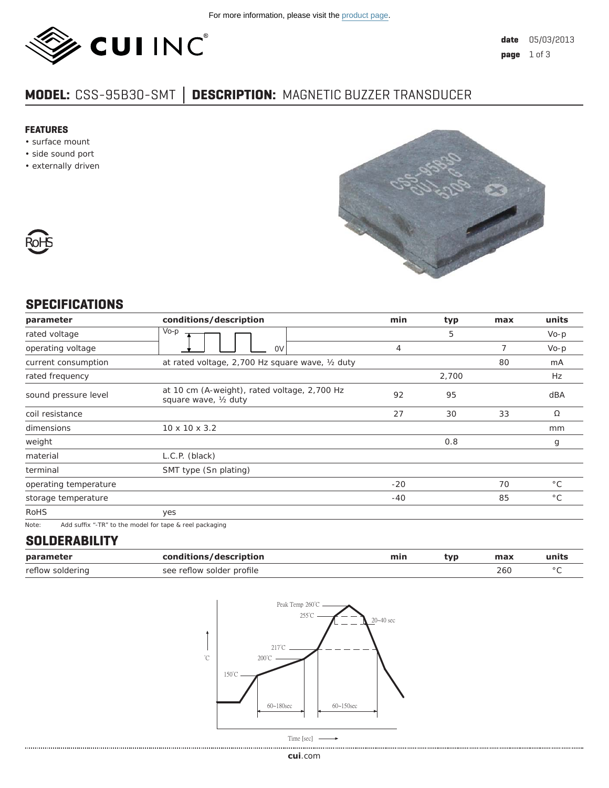

# **MODEL:** CSS-95B30-SMT **│ DESCRIPTION:** MAGNETIC BUZZER TRANSDUCER

#### **FEATURES**

- surface mount
- side sound port
- externally driven





# **SPECIFICATIONS**

| parameter             | conditions/description                                                | min   | typ   | max | units        |
|-----------------------|-----------------------------------------------------------------------|-------|-------|-----|--------------|
| rated voltage         | Vo-p                                                                  |       | 5     |     | $Vo-p$       |
| operating voltage     | 0V                                                                    | 4     |       | 7   | $Vo-p$       |
| current consumption   | at rated voltage, 2,700 Hz square wave, 1/2 duty                      |       |       | 80  | mA           |
| rated frequency       |                                                                       |       | 2,700 |     | Hz           |
| sound pressure level  | at 10 cm (A-weight), rated voltage, 2,700 Hz<br>square wave, 1/2 duty | 92    | 95    |     | dBA          |
| coil resistance       |                                                                       | 27    | 30    | 33  | Ω            |
| dimensions            | $10 \times 10 \times 3.2$                                             |       |       |     | mm           |
| weight                |                                                                       |       | 0.8   |     | g            |
| material              | L.C.P. (black)                                                        |       |       |     |              |
| terminal              | SMT type (Sn plating)                                                 |       |       |     |              |
| operating temperature |                                                                       | $-20$ |       | 70  | $^{\circ}$ C |
| storage temperature   |                                                                       | $-40$ |       | 85  | $^{\circ}$ C |
| <b>RoHS</b>           | yes                                                                   |       |       |     |              |
| Note:                 | Add suffix "-TR" to the model for tape & reel packaging               |       |       |     |              |

# **SOLDERABILITY**

| parameter        | conditions/description    | min | typ | max | units |
|------------------|---------------------------|-----|-----|-----|-------|
| reflow soldering | see reflow solder profile |     |     | 260 |       |

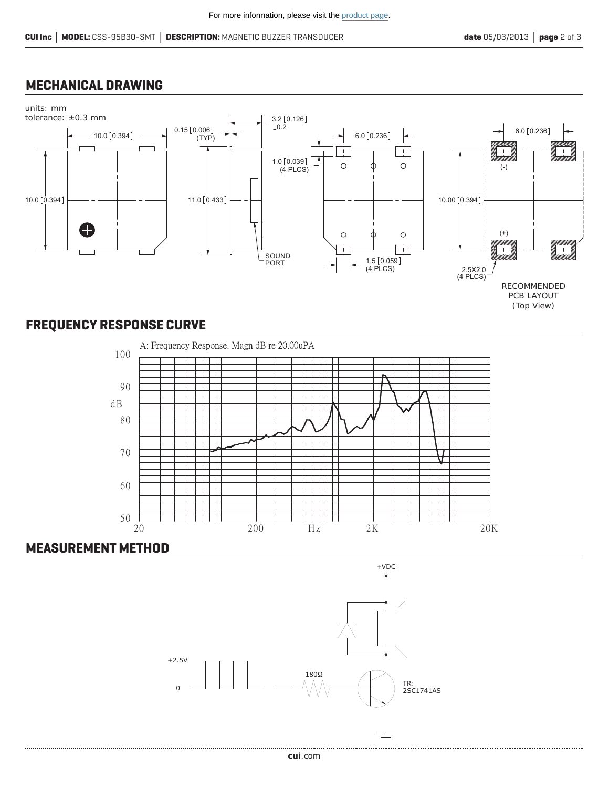#### **MECHANICAL DRAWING**



(Top View)

# **FREQUENCY RESPONSE CURVE**



### **MEASUREMENT METHOD**